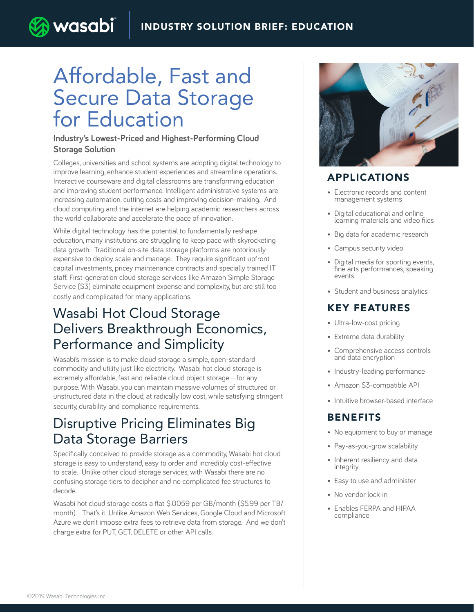# Affordable, Fast and Secure Data Storage for Education

) wasabi

#### **Industry's Lowest-Priced and Highest-Performing Cloud Storage Solution**

Colleges, universities and school systems are adopting digital technology to improve learning, enhance student experiences and streamline operations. Interactive courseware and digital classrooms are transforming education and improving student performance. Intelligent administrative systems are increasing automation, cutting costs and improving decision-making. And cloud computing and the internet are helping academic researchers across the world collaborate and accelerate the pace of innovation.

While digital technology has the potential to fundamentally reshape education, many institutions are struggling to keep pace with skyrocketing data growth. Traditional on-site data storage platforms are notoriously expensive to deploy, scale and manage. They require significant upfront capital investments, pricey maintenance contracts and specially trained IT staff. First-generation cloud storage services like Amazon Simple Storage Service (S3) eliminate equipment expense and complexity, but are still too costly and complicated for many applications.

#### Wasabi Hot Cloud Storage Delivers Breakthrough Economics, Performance and Simplicity

Wasabi's mission is to make cloud storage a simple, open-standard commodity and utility, just like electricity. Wasabi hot cloud storage is extremely affordable, fast and reliable cloud object storage—for any purpose. With Wasabi, you can maintain massive volumes of structured or unstructured data in the cloud, at radically low cost, while satisfying stringent security, durability and compliance requirements.

#### Disruptive Pricing Eliminates Big Data Storage Barriers

Specifically conceived to provide storage as a commodity, Wasabi hot cloud storage is easy to understand, easy to order and incredibly cost-effective to scale. Unlike other cloud storage services, with Wasabi there are no confusing storage tiers to decipher and no complicated fee structures to decode.

Wasabi hot cloud storage costs a flat \$.0059 per GB/month (\$5.99 per TB/ month). That's it. Unlike Amazon Web Services, Google Cloud and Microsoft Azure we don't impose extra fees to retrieve data from storage. And we don't charge extra for PUT, GET, DELETE or other API calls.



#### APPLICATIONS

- Electronic records and content management systems
- Digital educational and online learning materials and video files
- Big data for academic research
- Campus security video
- Digital media for sporting events, fine arts performances, speaking events
- Student and business analytics

#### KEY FEATURES

- Ultra-low-cost pricing
- Extreme data durability
- Comprehensive access controls and data encryption
- Industry-leading performance
- Amazon S3-compatible API
- Intuitive browser-based interface

#### **BENEFITS**

- No equipment to buy or manage
- Pay-as-you-grow scalability
- Inherent resiliency and data integrity
- Easy to use and administer
- No vendor lock-in
- Enables FERPA and HIPAA compliance